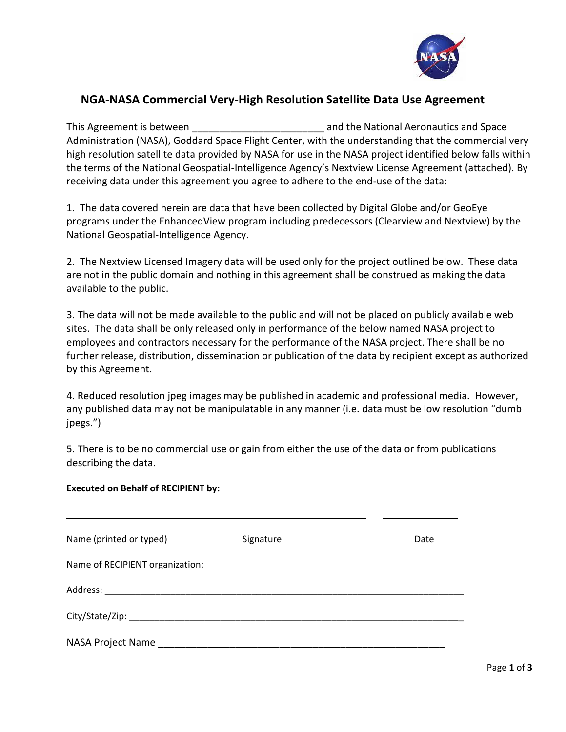

# **NGA-NASA Commercial Very-High Resolution Satellite Data Use Agreement**

This Agreement is between **the Europe and the National Aeronautics and Space** Administration (NASA), Goddard Space Flight Center, with the understanding that the commercial very high resolution satellite data provided by NASA for use in the NASA project identified below falls within the terms of the National Geospatial-Intelligence Agency's Nextview License Agreement (attached). By receiving data under this agreement you agree to adhere to the end-use of the data:

1. The data covered herein are data that have been collected by Digital Globe and/or GeoEye programs under the EnhancedView program including predecessors (Clearview and Nextview) by the National Geospatial-Intelligence Agency.

2. The Nextview Licensed Imagery data will be used only for the project outlined below. These data are not in the public domain and nothing in this agreement shall be construed as making the data available to the public.

3. The data will not be made available to the public and will not be placed on publicly available web sites. The data shall be only released only in performance of the below named NASA project to employees and contractors necessary for the performance of the NASA project. There shall be no further release, distribution, dissemination or publication of the data by recipient except as authorized by this Agreement.

4. Reduced resolution jpeg images may be published in academic and professional media. However, any published data may not be manipulatable in any manner (i.e. data must be low resolution "dumb jpegs.")

5. There is to be no commercial use or gain from either the use of the data or from publications describing the data.

# **Executed on Behalf of RECIPIENT by:**

 $\overline{\phantom{a}}$ 

| Name (printed or typed) | Signature | Date |
|-------------------------|-----------|------|
|                         |           |      |
|                         |           |      |
|                         |           |      |
| NASA Project Name       |           |      |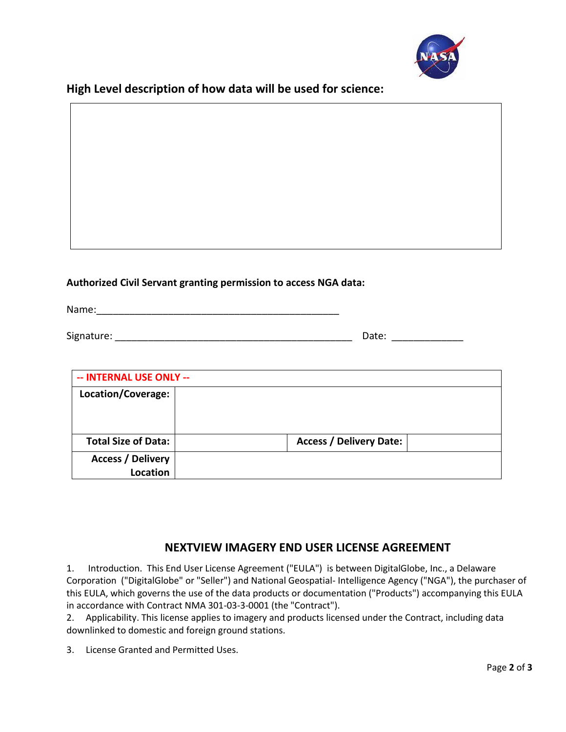

**High Level description of how data will be used for science:**

# **Authorized Civil Servant granting permission to access NGA data:**

Name:\_\_\_\_\_\_\_\_\_\_\_\_\_\_\_\_\_\_\_\_\_\_\_\_\_\_\_\_\_\_\_\_\_\_\_\_\_\_\_\_\_\_\_\_

Signature: \_\_\_\_\_\_\_\_\_\_\_\_\_\_\_\_\_\_\_\_\_\_\_\_\_\_\_\_\_\_\_\_\_\_\_\_\_\_\_\_\_\_\_ Date: \_\_\_\_\_\_\_\_\_\_\_\_\_

| -- INTERNAL USE ONLY --                     |                                |  |
|---------------------------------------------|--------------------------------|--|
| Location/Coverage:                          |                                |  |
| <b>Total Size of Data:</b>                  | <b>Access / Delivery Date:</b> |  |
| <b>Access / Delivery</b><br><b>Location</b> |                                |  |

# **NEXTVIEW IMAGERY END USER LICENSE AGREEMENT**

1. Introduction. This End User License Agreement ("EULA") is between DigitalGlobe, Inc., a Delaware Corporation ("DigitalGlobe" or "Seller") and National Geospatial- Intelligence Agency ("NGA"), the purchaser of this EULA, which governs the use of the data products or documentation ("Products") accompanying this EULA in accordance with Contract NMA 301-03-3-0001 (the "Contract").

2. Applicability. This license applies to imagery and products licensed under the Contract, including data downlinked to domestic and foreign ground stations.

3. License Granted and Permitted Uses.